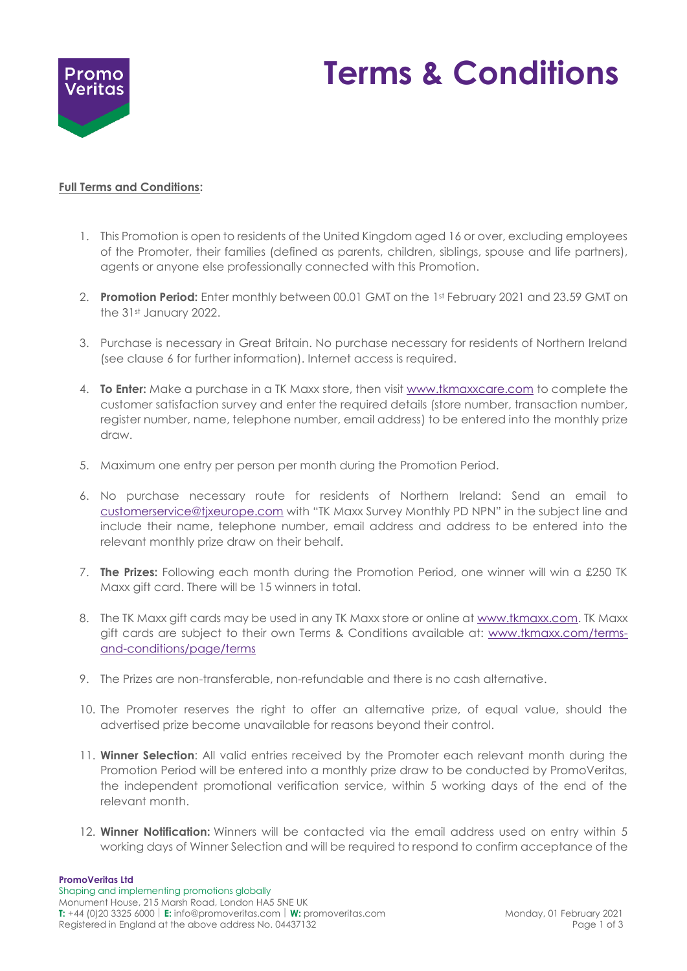

# **Terms & Conditions**

## **Full Terms and Conditions:**

- 1. This Promotion is open to residents of the United Kingdom aged 16 or over, excluding employees of the Promoter, their families (defined as parents, children, siblings, spouse and life partners), agents or anyone else professionally connected with this Promotion.
- 2. **Promotion Period:** Enter monthly between 00.01 GMT on the 1st February 2021 and 23.59 GMT on the 31st January 2022.
- 3. Purchase is necessary in Great Britain. No purchase necessary for residents of Northern Ireland (see clause 6 for further information). Internet access is required.
- 4. **To Enter:** Make a purchase in a TK Maxx store, then visit www.tkmaxxcare.com to complete the customer satisfaction survey and enter the required details (store number, transaction number, register number, name, telephone number, email address) to be entered into the monthly prize draw.
- 5. Maximum one entry per person per month during the Promotion Period.
- 6. No purchase necessary route for residents of Northern Ireland: Send an email to [customerservice@tjxeurope.com](mailto:customerservice@tjxeurope.com) with "TK Maxx Survey Monthly PD NPN" in the subject line and include their name, telephone number, email address and address to be entered into the relevant monthly prize draw on their behalf.
- 7. **The Prizes:** Following each month during the Promotion Period, one winner will win a £250 TK Maxx gift card. There will be 15 winners in total.
- 8. The TK Maxx gift cards may be used in any TK Maxx store or online a[t www.tkmaxx.com.](http://www.tkmaxx.com/) TK Maxx gift cards are subject to their own Terms & Conditions available at: [www.tkmaxx.com/terms](http://www.tkmaxx.com/terms-and-conditions/page/terms)[and-conditions/page/terms](http://www.tkmaxx.com/terms-and-conditions/page/terms)
- 9. The Prizes are non-transferable, non-refundable and there is no cash alternative.
- 10. The Promoter reserves the right to offer an alternative prize, of equal value, should the advertised prize become unavailable for reasons beyond their control.
- 11. **Winner Selection**: All valid entries received by the Promoter each relevant month during the Promotion Period will be entered into a monthly prize draw to be conducted by PromoVeritas, the independent promotional verification service, within 5 working days of the end of the relevant month.
- 12. **Winner Notification:** Winners will be contacted via the email address used on entry within 5 working days of Winner Selection and will be required to respond to confirm acceptance of the

### **PromoVeritas Ltd**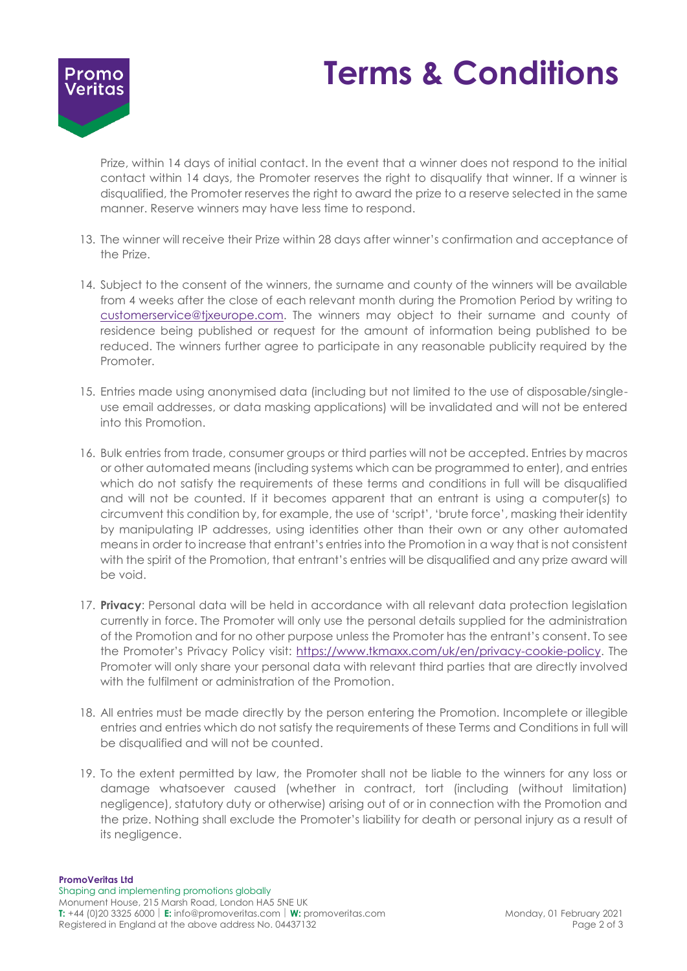



Prize, within 14 days of initial contact. In the event that a winner does not respond to the initial contact within 14 days, the Promoter reserves the right to disqualify that winner. If a winner is disqualified, the Promoter reserves the right to award the prize to a reserve selected in the same manner. Reserve winners may have less time to respond.

- 13. The winner will receive their Prize within 28 days after winner's confirmation and acceptance of the Prize.
- 14. Subject to the consent of the winners, the surname and county of the winners will be available from 4 weeks after the close of each relevant month during the Promotion Period by writing to [customerservice@tjxeurope.com.](mailto:customerservice@tjxeurope.com) The winners may object to their surname and county of residence being published or request for the amount of information being published to be reduced. The winners further agree to participate in any reasonable publicity required by the Promoter.
- 15. Entries made using anonymised data (including but not limited to the use of disposable/singleuse email addresses, or data masking applications) will be invalidated and will not be entered into this Promotion.
- 16. Bulk entries from trade, consumer groups or third parties will not be accepted. Entries by macros or other automated means (including systems which can be programmed to enter), and entries which do not satisfy the requirements of these terms and conditions in full will be disqualified and will not be counted. If it becomes apparent that an entrant is using a computer(s) to circumvent this condition by, for example, the use of 'script', 'brute force', masking their identity by manipulating IP addresses, using identities other than their own or any other automated means in order to increase that entrant's entries into the Promotion in a way that is not consistent with the spirit of the Promotion, that entrant's entries will be disqualified and any prize award will be void.
- 17. **Privacy**: Personal data will be held in accordance with all relevant data protection legislation currently in force. The Promoter will only use the personal details supplied for the administration of the Promotion and for no other purpose unless the Promoter has the entrant's consent. To see the Promoter's Privacy Policy visit: [https://www.tkmaxx.com/uk/en/privacy-cookie-policy.](https://www.tkmaxx.com/uk/en/privacy-cookie-policy) The Promoter will only share your personal data with relevant third parties that are directly involved with the fulfilment or administration of the Promotion.
- 18. All entries must be made directly by the person entering the Promotion. Incomplete or illegible entries and entries which do not satisfy the requirements of these Terms and Conditions in full will be disqualified and will not be counted.
- 19. To the extent permitted by law, the Promoter shall not be liable to the winners for any loss or damage whatsoever caused (whether in contract, tort (including (without limitation) negligence), statutory duty or otherwise) arising out of or in connection with the Promotion and the prize. Nothing shall exclude the Promoter's liability for death or personal injury as a result of its negligence.

#### **PromoVeritas Ltd**